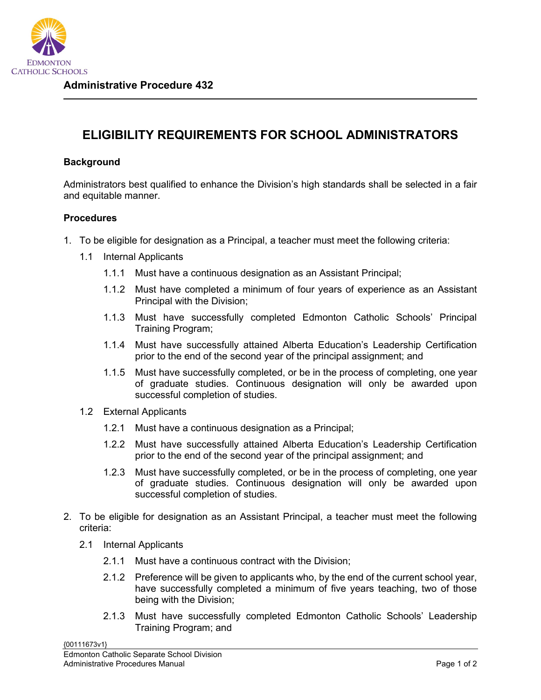

## **ELIGIBILITY REQUIREMENTS FOR SCHOOL ADMINISTRATORS**

## **Background**

Administrators best qualified to enhance the Division's high standards shall be selected in a fair and equitable manner.

## **Procedures**

- 1. To be eligible for designation as a Principal, a teacher must meet the following criteria:
	- 1.1 Internal Applicants
		- 1.1.1 Must have a continuous designation as an Assistant Principal;
		- 1.1.2 Must have completed a minimum of four years of experience as an Assistant Principal with the Division;
		- 1.1.3 Must have successfully completed Edmonton Catholic Schools' Principal Training Program;
		- 1.1.4 Must have successfully attained Alberta Education's Leadership Certification prior to the end of the second year of the principal assignment; and
		- 1.1.5 Must have successfully completed, or be in the process of completing, one year of graduate studies. Continuous designation will only be awarded upon successful completion of studies.
	- 1.2 External Applicants
		- 1.2.1 Must have a continuous designation as a Principal;
		- 1.2.2 Must have successfully attained Alberta Education's Leadership Certification prior to the end of the second year of the principal assignment; and
		- 1.2.3 Must have successfully completed, or be in the process of completing, one year of graduate studies. Continuous designation will only be awarded upon successful completion of studies.
- 2. To be eligible for designation as an Assistant Principal, a teacher must meet the following criteria:
	- 2.1 Internal Applicants
		- 2.1.1 Must have a continuous contract with the Division;
		- 2.1.2 Preference will be given to applicants who, by the end of the current school year, have successfully completed a minimum of five years teaching, two of those being with the Division;
		- 2.1.3 Must have successfully completed Edmonton Catholic Schools' Leadership Training Program; and